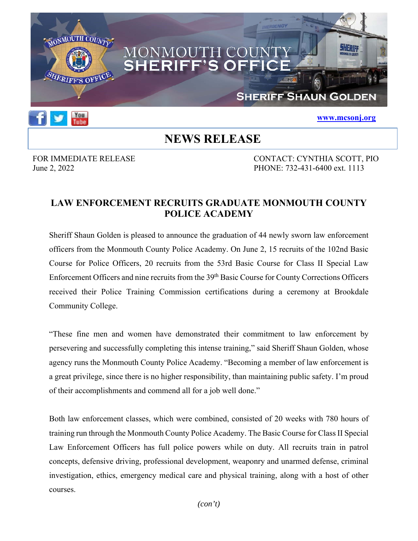



### **www.mcsonj.org**

## **NEWS RELEASE**

FOR IMMEDIATE RELEASE CONTACT: CYNTHIA SCOTT, PIO June 2, 2022 PHONE: 732-431-6400 ext. 1113

## **LAW ENFORCEMENT RECRUITS GRADUATE MONMOUTH COUNTY POLICE ACADEMY**

Sheriff Shaun Golden is pleased to announce the graduation of 44 newly sworn law enforcement officers from the Monmouth County Police Academy. On June 2, 15 recruits of the 102nd Basic Course for Police Officers, 20 recruits from the 53rd Basic Course for Class II Special Law Enforcement Officers and nine recruits from the 39<sup>th</sup> Basic Course for County Corrections Officers received their Police Training Commission certifications during a ceremony at Brookdale Community College.

"These fine men and women have demonstrated their commitment to law enforcement by persevering and successfully completing this intense training," said Sheriff Shaun Golden, whose agency runs the Monmouth County Police Academy. "Becoming a member of law enforcement is a great privilege, since there is no higher responsibility, than maintaining public safety. I'm proud of their accomplishments and commend all for a job well done."

Both law enforcement classes, which were combined, consisted of 20 weeks with 780 hours of training run through the Monmouth County Police Academy. The Basic Course for Class II Special Law Enforcement Officers has full police powers while on duty. All recruits train in patrol concepts, defensive driving, professional development, weaponry and unarmed defense, criminal investigation, ethics, emergency medical care and physical training, along with a host of other courses.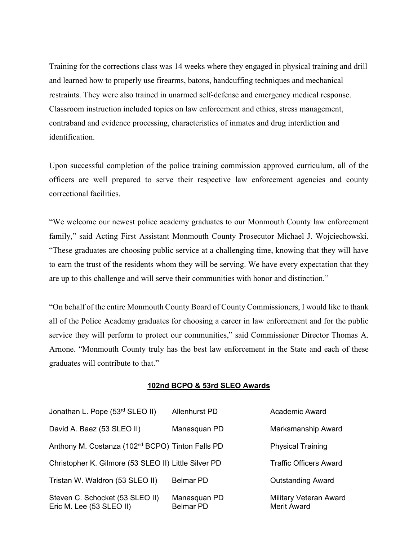Training for the corrections class was 14 weeks where they engaged in physical training and drill and learned how to properly use firearms, batons, handcuffing techniques and mechanical restraints. They were also trained in unarmed self-defense and emergency medical response. Classroom instruction included topics on law enforcement and ethics, stress management, contraband and evidence processing, characteristics of inmates and drug interdiction and identification.

Upon successful completion of the police training commission approved curriculum, all of the officers are well prepared to serve their respective law enforcement agencies and county correctional facilities.

"We welcome our newest police academy graduates to our Monmouth County law enforcement family," said Acting First Assistant Monmouth County Prosecutor Michael J. Wojciechowski. "These graduates are choosing public service at a challenging time, knowing that they will have to earn the trust of the residents whom they will be serving. We have every expectation that they are up to this challenge and will serve their communities with honor and distinction."

"On behalf of the entire Monmouth County Board of County Commissioners, I would like to thank all of the Police Academy graduates for choosing a career in law enforcement and for the public service they will perform to protect our communities," said Commissioner Director Thomas A. Arnone. "Monmouth County truly has the best law enforcement in the State and each of these graduates will contribute to that."

#### **102nd BCPO & 53rd SLEO Awards**

| Jonathan L. Pope (53rd SLEO II)                              | <b>Allenhurst PD</b>             | Academic Award                               |
|--------------------------------------------------------------|----------------------------------|----------------------------------------------|
| David A. Baez (53 SLEO II)                                   | Manasquan PD                     | Marksmanship Award                           |
| Anthony M. Costanza (102 <sup>nd</sup> BCPO) Tinton Falls PD |                                  | <b>Physical Training</b>                     |
| Christopher K. Gilmore (53 SLEO II) Little Silver PD         |                                  | <b>Traffic Officers Award</b>                |
| Tristan W. Waldron (53 SLEO II)                              | <b>Belmar PD</b>                 | <b>Outstanding Award</b>                     |
| Steven C. Schocket (53 SLEO II)<br>Eric M. Lee (53 SLEO II)  | Manasquan PD<br><b>Belmar PD</b> | Military Veteran Award<br><b>Merit Award</b> |